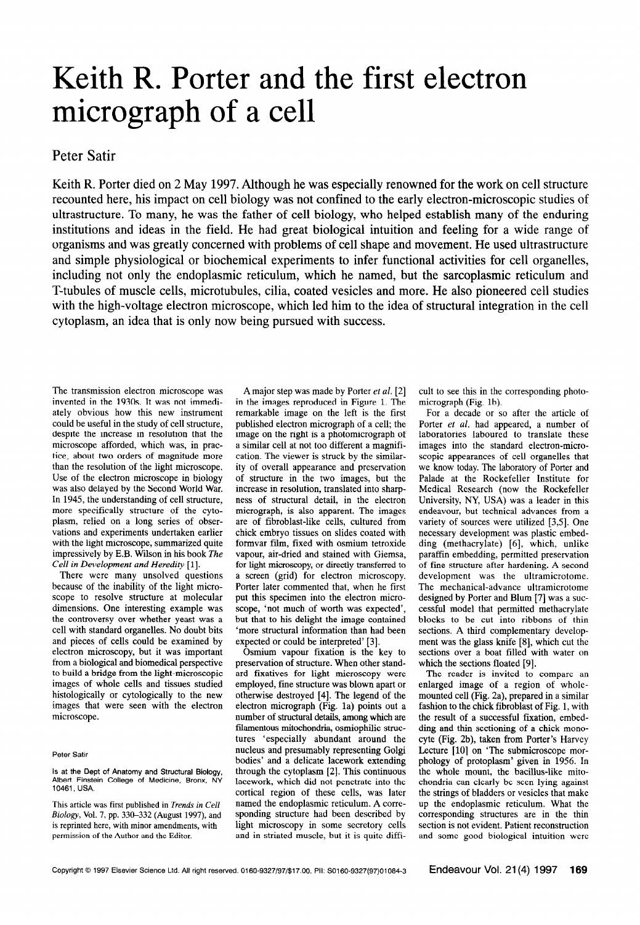## Keith R. Porter and the first electron micrograph of a cell

Peter Satir

Keith R. Porter died on 2 May 1997. Although he was especially renowned for the work on cell structure recounted here, his impact on cell biology was not confined to the early electron-microscopic studies of ultrastructure. To many, he was the father of cell biology, who helped establish many of the enduring institutions and ideas in the field. He had great biological intuition and feeling for a wide range of organisms and was greatly concerned with problems of cell shape and movement. He used ultrastructure and simple physiological or biochemical experiments to infer functional activities for cell organelles, including not only the endoplasmic reticulum, which he named, but the sarcoplasmic reticulum and T-tubules of muscle cells, microtubules, cilia, coated vesicles and more. He also pioneered cell studies with the high-voltage electron microscope, which led him to the idea of structural integration in the cell cytoplasm, an idea that is only now being pursued with success.

The transmission electron microscope was invented in the 1930s. It was not immediately obvious how this new instrument could be useful in the study of cell structure, despite the increase in resolution that the microscope afforded, which was, in practice, about two orders of magnitude more than the resolution of the light microscope. Use of the electron microscope in biology was also delayed by the Second World War. In 1945, the understanding of cell structure, more specifically structure of the cytoplasm, relied on a long series of observations and experiments undertaken earlier with the light microscope, summarized quite impressively by E.B. Wilson in his book The Cell *in Development and Heredity* [ 11.

There were many unsolved questions because of the inability of the light microscope to resolve structure at molecular dimensions. One interesting example was the controversy over whether yeast was a cell with standard organelles. No doubt bits and pieces of cells could be examined by electron microscopy, but it was important from a biological and biomedical perspective to build a bridge from the light-microscopic images of whole cells and tissues studied histologically or cytologically to the new images that were seen with the electron microscope.

## Peter Satir

Is at the Dept of Anatomy and Structural Biology, Albert Einstein College of Medicine, Bronx, NY 10461, USA.

This article was first published in *Trends in Cell Biology,* Vol. 7, pp. 330-332 (August 1997), and is reprinted here, with minor amendments, with permission of the Author and the Editor.

A major step was made by Porter *et al. [2]*  in the images reproduced in Figure 1. The remarkable image on the left is the first published electron micrograph of a cell; the image on the right is a photomicrograph of a similar cell at not too different a magnification. The viewer is struck by the similarity of overall appearance and preservation of structure in the two images, but the increase in resolution, translated into sharpness of structural detail, in the electron micrograph, is also apparent. The images are of fibroblast-like cells, cultured from chick embryo tissues on slides coated with formvar film, fixed with osmium tetroxide vapour, air-dried and stained with Giemsa, for light microscopy, or directly transferred to a screen (grid) for electron microscopy. Porter later commented that, when he first put this specimen into the electron microscope, 'not much of worth was expected', but that to his delight the image contained 'more structural information than had been expected or could be interpreted' [3].

Osmium vapour fixation is the key to preservation of structure. When other standard fixatives for light microscopy were employed, fine structure was blown apart or otherwise destroyed [4]. The legend of the electron micrograph (Fig. 1a) points out a number of structural details, among which are filamentous mitochondria, osmiophilic structures 'especially abundant around the nucleus and presumably representing Golgi bodies' and a delicate lacework extending through the cytoplasm [2]. This continuous lacework, which did not penetrate into the cortical region of these cells, was later named the endoplasmic reticulum. A corresponding structure had been described by light microscopy in some secretory cells and in striated muscle, but it is quite difficult to see this in the corresponding photomicrograph (Fig. lb).

For a decade or so after the article of Porter *et al.* had appeared, a number of laboratories laboured to translate these images into the standard electron-microscopic appearances of cell organelles that we know today. The laboratory of Porter and Palade at the Rockefeller Institute for Medical Research (now the Rockefeller University, NY, USA) was a leader in this endeavour, but technical advances from a variety of sources were utilized [3,5]. One necessary development was plastic embedding (methacrylate) [6], which, unlike paraffin embedding, permitted preservation of fine structure after hardening. A second development was the ultramicrotome. The mechanical-advance ultramicrotome designed by Porter and Blum [7] was a successful model that permitted methacrylate blocks to be cut into ribbons of thin sections. A third complementary development was the glass knife [8], which cut the sections over a boat filled with water on which the sections floated [9].

The reader is invited to compare an enlarged image of a region of wholemounted cell (Fig. 2a), prepared in a similar fashion to the chick fibroblast of Fig. 1, with the result of a successful fixation, embedding and thin sectioning of a chick monocyte (Fig. 2b), taken from Porter's Harvey Lecture [10] on 'The submicroscope morphology of protoplasm' given in 1956. In the whole mount, the bacillus-like mitochondria can clearly be seen lying against the strings of bladders or vesicles that make up the endoplasmic reticulum. What the corresponding structures are in the thin section is not evident. Patient reconstruction and some good biological intuition were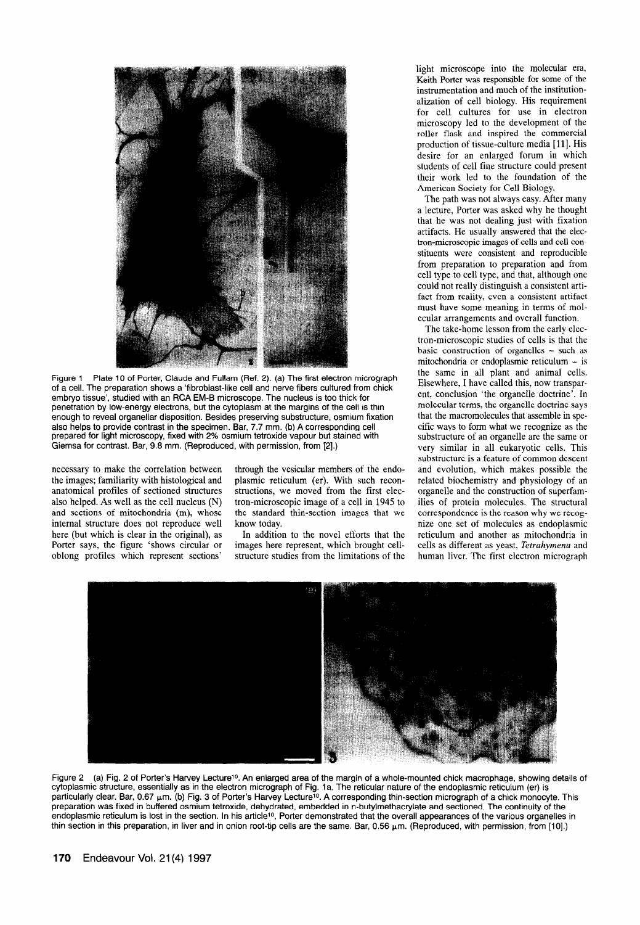

Figure 1 Plate 10 of Porter, Claude and Fullam (Ref. 2). (a) The first electron micrograph of a cell. The preparation shows a 'fibroblast-like cell and nerve fibers cultured from chick embryo tissue', studied with an RCA EM-B microscope. The nucleus is too thick for penetration by low-energy electrons, but the cytoplasm at the margins of the cell is thin enough to reveal organellar disposition. Besides preserving substructure, osmium fixation also helps to provide contrast in the specimen. Bar, 7.7 mm. (b) A corresponding cell prepared for light microscopy, fixed with 2% osmium tetroxide vapour but stained with Giemsa for contrast. Bar, 9.8 mm. (Reproduced, with permission, from [2].)

necessary to make the correlation between the images; familiarity with histological and anatomical profiles of sectioned structures also helped. As well as the cell nucleus (N) and sections of mitochondria (m), whose internal structure does not reproduce well here (but which is clear in the original), as Porter says, the figure 'shows circular or oblong profiles which represent sections'

through the vesicular members of the endoplasmic reticulum (er). With such reconstructions, we moved from the first electron-microscopic image of a cell in 1945 to the standard thin-section images that we know today.

In addition to the novel efforts that the images here represent, which brought cellstructure studies from the limitations of the light microscope into the molecular era, Keith Porter was responsible for some of the instrumentation and much of the institutionalization of cell biology. His requirement for cell cultures for use in electron microscopy led to the development of the roller flask and inspired the commercial production of tissue-culture media [11]. His desire for an enlarged forum in which students of cell fine structure could present their work led to the foundation of the American Society for Cell Biology.

The path was not always easy. After many a lecture, Porter was asked why he thought that he was not dealing just with fixation artifacts. He usually answered that the electron-microscopic images of cells and cell constituents were consistent and reproducible from preparation to preparation and from cell type to cell type, and that, although one could not really distinguish a consistent artifact from reality, even a consistent artifact must have some meaning in terms of molecular arrangements and overall function.

The take-home lesson from the early electron-microscopic studies of cells is that the basic construction of organelles  $-$  such as mitochondria or endoplasmic reticulum  $-$  is the same in all plant and animal cells. Elsewhere, 1 have called this, now transparent, conclusion 'the organelle doctrine'. In molecular terms, the organelle doctrine says that the macromolecules that assemble in specific ways to form what we recognize as the substructure of an organelle are the same or very similar in all eukaryotic cells. This substructure is a feature of common descent and evolution, which makes possible the related biochemistry and physiology of an organelle and the construction of superfamilies of protein molecules. The structural correspondence is the reason why we recognize one set of molecules as endoplasmic reticulum and another as mitochondria in cells as different as yeast, *Tetrahymena* and human liver. The first electron micrograph



Figure 2 (a) Fig. 2 of Porter's Harvey Lecture<sup>10</sup>. An enlarged area of the margin of a whole-mounted chick macrophage, showing details of cytoplasmic structure, essentially as in the electron micrograph of Fig. 1 a. The reticular nature of the endoplasmic reticulum (er) is particularly clear. Bar, 0.67 μm. (b) Fig. 3 of Porter's Harvey Lecture<sup>10</sup>. A corresponding thin-section micrograph of a chick monocyte. This preparation was fixed in buffered osmium tetroxide, dehydrated, embedded in n-butylmethacrylate and sectioned. The continuity of the endoplasmic reticulum is lost in the section. In his article<sup>10</sup>, Porter demonstrated that the overall appearances of the various organelles in thin section in this preparation, in liver and in onion root-tip cells are the same. Bar, 0.56  $\mu$ m. (Reproduced, with permission, from [10].)